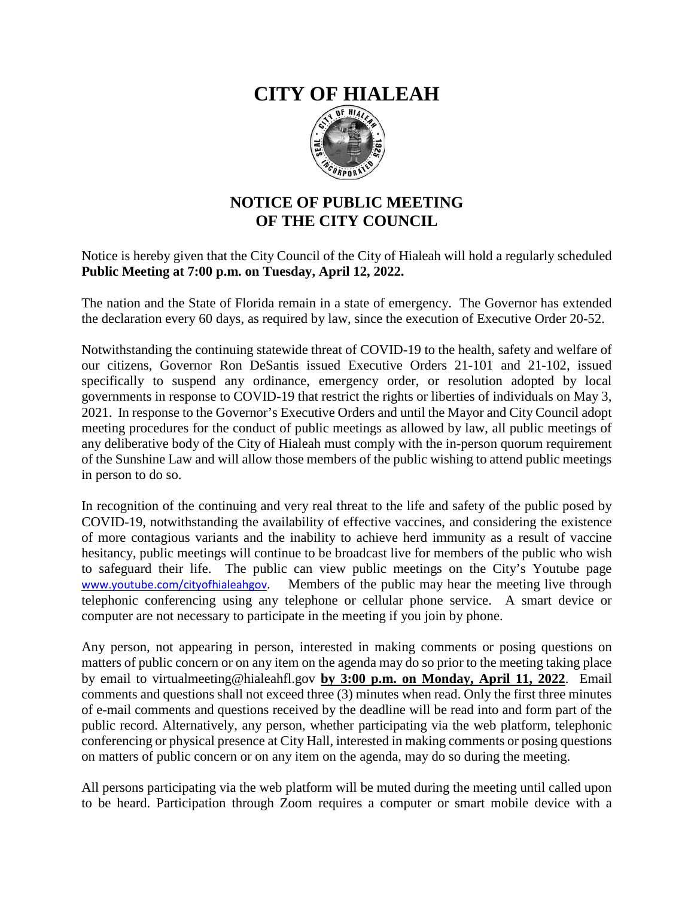## **CITY OF HIALEAH**



## **NOTICE OF PUBLIC MEETING OF THE CITY COUNCIL**

## Notice is hereby given that the City Council of the City of Hialeah will hold a regularly scheduled **Public Meeting at 7:00 p.m. on Tuesday, April 12, 2022.**

The nation and the State of Florida remain in a state of emergency. The Governor has extended the declaration every 60 days, as required by law, since the execution of Executive Order 20-52.

Notwithstanding the continuing statewide threat of COVID-19 to the health, safety and welfare of our citizens, Governor Ron DeSantis issued Executive Orders 21-101 and 21-102, issued specifically to suspend any ordinance, emergency order, or resolution adopted by local governments in response to COVID-19 that restrict the rights or liberties of individuals on May 3, 2021. In response to the Governor's Executive Orders and until the Mayor and City Council adopt meeting procedures for the conduct of public meetings as allowed by law, all public meetings of any deliberative body of the City of Hialeah must comply with the in-person quorum requirement of the Sunshine Law and will allow those members of the public wishing to attend public meetings in person to do so.

In recognition of the continuing and very real threat to the life and safety of the public posed by COVID-19, notwithstanding the availability of effective vaccines, and considering the existence of more contagious variants and the inability to achieve herd immunity as a result of vaccine hesitancy, public meetings will continue to be broadcast live for members of the public who wish to safeguard their life. The public can view public meetings on the City's Youtube page [www.youtube.com/cityofhialeahgov](http://www.youtube.com/cityofhialeahgov). Members of the public may hear the meeting live through telephonic conferencing using any telephone or cellular phone service. A smart device or computer are not necessary to participate in the meeting if you join by phone.

Any person, not appearing in person, interested in making comments or posing questions on matters of public concern or on any item on the agenda may do so prior to the meeting taking place by email to virtualmeeting@hialeahfl.gov **by 3:00 p.m. on Monday, April 11, 2022**. Email comments and questions shall not exceed three (3) minutes when read. Only the first three minutes of e-mail comments and questions received by the deadline will be read into and form part of the public record. Alternatively, any person, whether participating via the web platform, telephonic conferencing or physical presence at City Hall, interested in making comments or posing questions on matters of public concern or on any item on the agenda, may do so during the meeting.

All persons participating via the web platform will be muted during the meeting until called upon to be heard. Participation through Zoom requires a computer or smart mobile device with a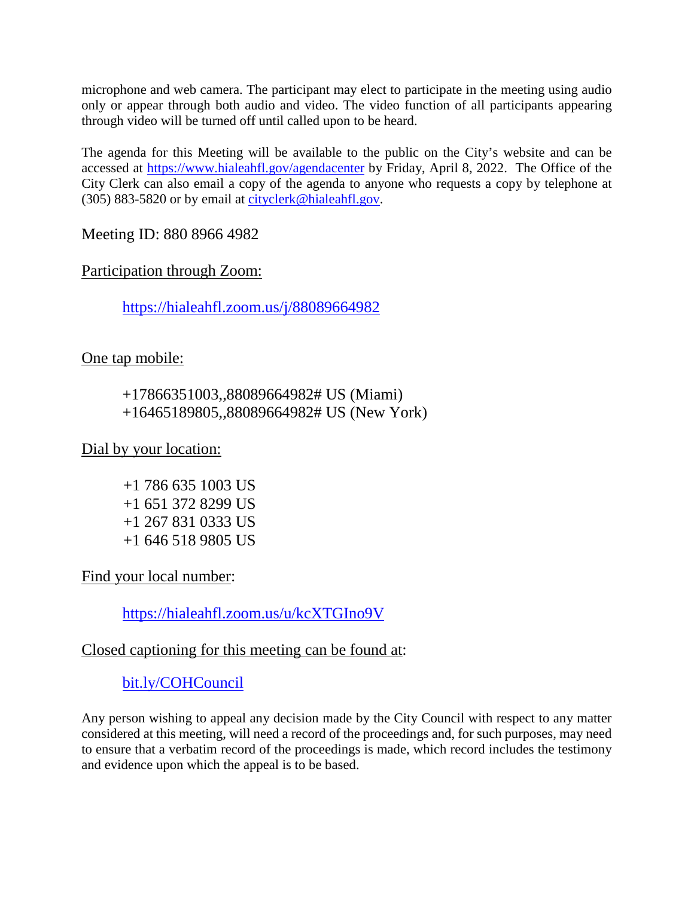microphone and web camera. The participant may elect to participate in the meeting using audio only or appear through both audio and video. The video function of all participants appearing through video will be turned off until called upon to be heard.

The agenda for this Meeting will be available to the public on the City's website and can be accessed at<https://www.hialeahfl.gov/agendacenter> by Friday, April 8, 2022. The Office of the City Clerk can also email a copy of the agenda to anyone who requests a copy by telephone at (305) 883-5820 or by email at [cityclerk@hialeahfl.gov.](mailto:cityclerk@hialeahfl.gov)

Meeting ID: 880 8966 4982

Participation through Zoom:

<https://hialeahfl.zoom.us/j/88089664982>

One tap mobile:

+17866351003,,88089664982# US (Miami) +16465189805,,88089664982# US (New York)

Dial by your location:

 +1 786 635 1003 US +1 651 372 8299 US +1 267 831 0333 US +1 646 518 9805 US

Find your local number:

<https://hialeahfl.zoom.us/u/kcXTGIno9V>

## Closed captioning for this meeting can be found at:

[bit.ly/COHCouncil](http://bit.ly/COHCouncil)

Any person wishing to appeal any decision made by the City Council with respect to any matter considered at this meeting, will need a record of the proceedings and, for such purposes, may need to ensure that a verbatim record of the proceedings is made, which record includes the testimony and evidence upon which the appeal is to be based.